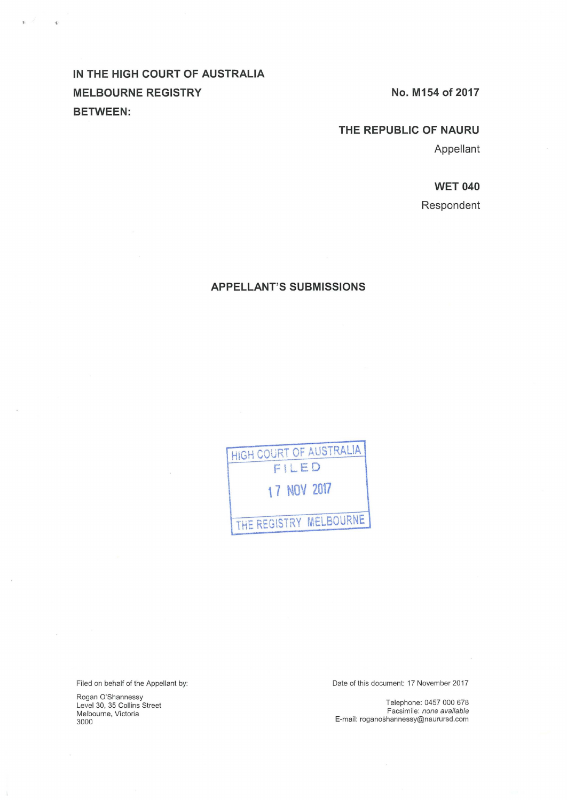# **IN THE HIGH COURT OF AUSTRALIA**  MELBOURNE REGISTRY No. M154 of 2017 **BETWEEN:**

 $\Phi$ 

## **THE REPUBLIC OF NAURU**

Appellant

## **WET 040**

Respondent

## **APPELLANT'S SUBMISSIONS**

HIGH COURT OF AUSTRALIA FILED **'7 NOV 2017**  THE REGISTRY MELBOURNE

Filed on behalf of the Appellant by:

Rogan O'Shannessy Level 30, 35 Collins Street Melbourne, Victoria 3000

Date of this document: 17 November 2017

Telephone: 0457 000 678 Facsimile: none available E-mail: roganoshannessy@naurursd.com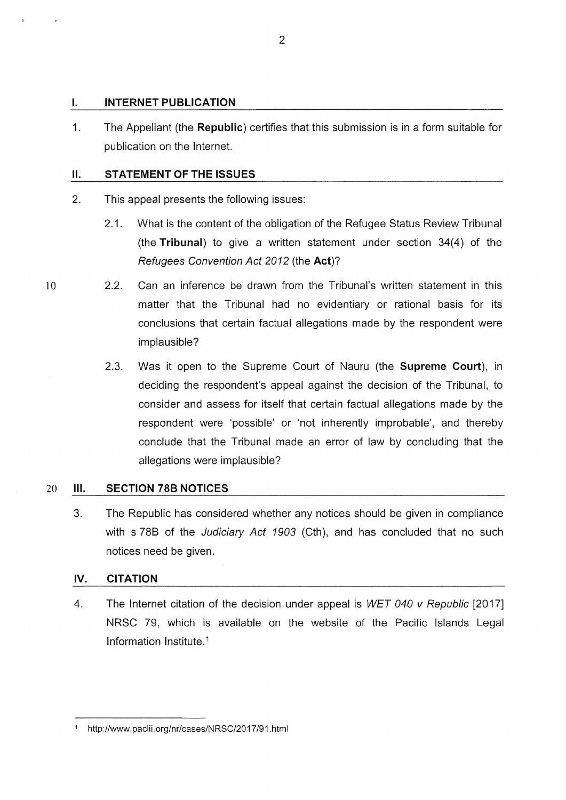## I. **INTERNET PUBLICATION**

1. The Appellant (the **Republic)** certifies that this submission is in a form suitable for publication on the Internet.

## **11. STATEMENT OF THE ISSUES**

- 2. This appeal presents the following issues:
	- 2.1. What is the content of the obligation of the Refugee Status Review Tribunal (the **Tribunal)** to give a written statement under section 34(4) of the Refugees Convention Act 2012 (the **Act)?**
- 10 2.2. Can an inference be drawn from the Tribunal's written statement in this matter that the Tribunal had no evidentiary or rational basis for its conclusions that certain factual allegations made by the respondent were implausible?
	- 2.3. Was it open to the Supreme Court of Nauru (the **Supreme Court),** in deciding the respondent's appeal against the decision of the Tribunal, to consider and assess for itself that certain factual allegations made by the respondent were 'possible' or 'not inherently improbable', and thereby conclude that the Tribunal made an error of law by concluding that the allegations were implausible?

#### 20 Ill. **SECTION 788 NOTICES**

3. The Republic has considered whether any notices should be given in compliance with s 78B of the Judiciary Act 1903 (Cth), and has concluded that no such notices need be given.

## **IV. CITATION**

4. The Internet citation of the decision under appeal is WET 040 v Republic [2017] NRSC 79, which is available on the website of the Pacific Islands Legal Information lnstitute. <sup>1</sup>

<sup>1</sup> http://www.paclii.org/nr/cases/NRSC/2017/91.html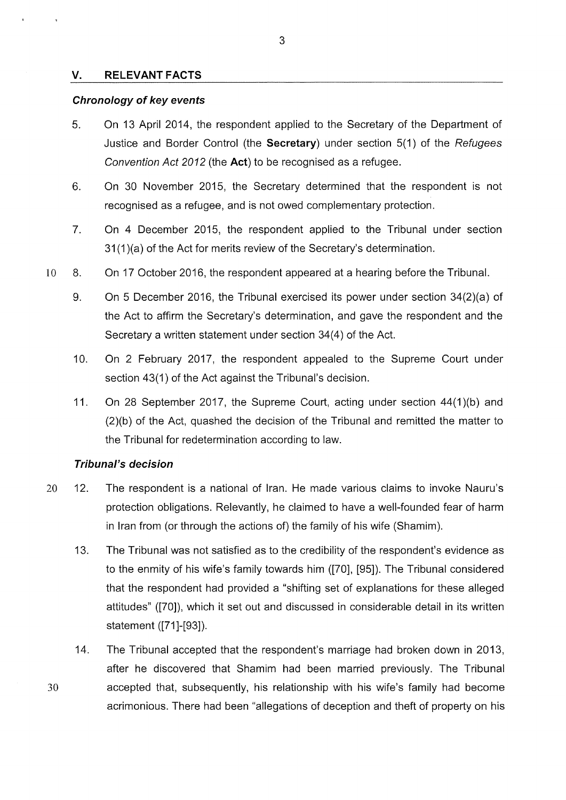### **V. RELEVANT FACTS**

### **Chronology of key events**

- 5. On 13 April 2014, the respondent applied to the Secretary of the Department of Justice and Border Control (the **Secretary)** under section 5(1) of the Refugees Convention Act 2012 (the **Act)** to be recognised as a refugee.
- 6. On 30 November 2015, the Secretary determined that the respondent is not recognised as a refugee, and is not owed complementary protection.
- 7. On 4 December 2015, the respondent applied to the Tribunal under section 31 (1 )(a) of the Act for merits review of the Secretary's determination.
- 10 8. On 17 October 2016, the respondent appeared at a hearing before the Tribunal.
	- 9. On 5 December 2016, the Tribunal exercised its power under section 34(2)(a) of the Act to affirm the Secretary's determination, and gave the respondent and the Secretary a written statement under section 34(4) of the Act.
	- 10. On 2 February 2017, the respondent appealed to the Supreme Court under section 43(1) of the Act against the Tribunal's decision.
	- 11. On 28 September 2017, the Supreme Court, acting under section 44(1 )(b) and (2)(b) of the Act, quashed the decision of the Tribunal and remitted the matter to the Tribunal for redetermination according to law.

## **Tribunal's decision**

- 20 12. The respondent is a national of Iran. He made various claims to invoke Nauru's protection obligations. Relevantly, he claimed to have a well-founded fear of harm in Iran from (or through the actions of) the family of his wife (Shamim).
	- 13. The Tribunal was not satisfied as to the credibility of the respondent's evidence as to the enmity of his wife's family towards him ([70], [95]). The Tribunal considered that the respondent had provided a "shifting set of explanations for these alleged attitudes" ([70]), which it set out and discussed in considerable detail in its written statement ([71]-[93]).
- 14. The Tribunal accepted that the respondent's marriage had broken down in 2013, after he discovered that Shamim had been married previously. The Tribunal 30 accepted that, subsequently, his relationship with his wife's family had become acrimonious. There had been "allegations of deception and theft of property on his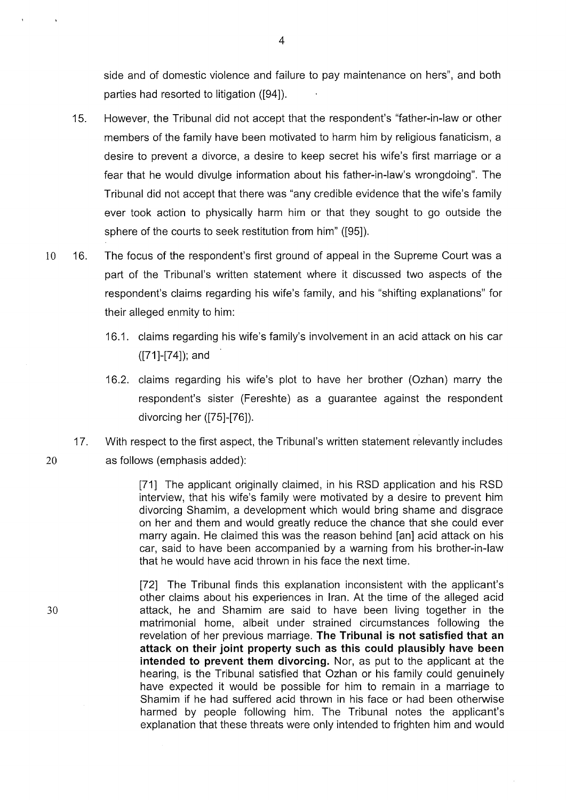side and of domestic violence and failure to pay maintenance on hers", and both parties had resorted to litigation ([94]).

- 15. However, the Tribunal did not accept that the respondent's "father-in-law or other members of the family have been motivated to harm him by religious fanaticism, a desire to prevent a divorce, a desire to keep secret his wife's first marriage or a fear that he would divulge information about his father-in-law's wrongdoing". The Tribunal did not accept that there was "any credible evidence that the wife's family ever took action to physically harm him or that they sought to go outside the sphere of the courts to seek restitution from him" ([95]).
- 10 16. The focus of the respondent's first ground of appeal in the Supreme Court was a part of the Tribunal's written statement where it discussed two aspects of the respondent's claims regarding his wife's family, and his "shifting explanations" for their alleged enmity to him:
	- 16.1. claims regarding his wife's family's involvement in an acid attack on his car ([71]-[74]); and
	- 16.2. claims regarding his wife's plot to have her brother (Ozhan) marry the respondent's sister (Fereshte) as a guarantee against the respondent divorcing her ([75]-[76]).
- 17. With respect to the first aspect, the Tribunal's written statement relevantly includes 20 as follows (emphasis added):

[71] The applicant originally claimed, in his RSD application and his RSD interview, that his wife's family were motivated by a desire to prevent him divorcing Shamim, a development which would bring shame and disgrace on her and them and would greatly reduce the chance that she could ever marry again. He claimed this was the reason behind [an] acid attack on his car, said to have been accompanied by a warning from his brother-in-law that he would have acid thrown in his face the next time.

[72] The Tribunal finds this explanation inconsistent with the applicant's other claims about his experiences in Iran. At the time of the alleged acid attack, he and Shamim are said to have been living together in the matrimonial home, albeit under strained circumstances following the revelation of her previous marriage. **The Tribunal is not satisfied that an attack on their joint property such as this could plausibly have been intended to prevent them divorcing.** Nor, as put to the applicant at the hearing, is the Tribunal satisfied that Ozhan or his family could genuinely have expected it would be possible for him to remain in a marriage to Shamim if he had suffered acid thrown in his face or had been otherwise harmed by people following him. The Tribunal notes the applicant's explanation that these threats were only intended to frighten him and would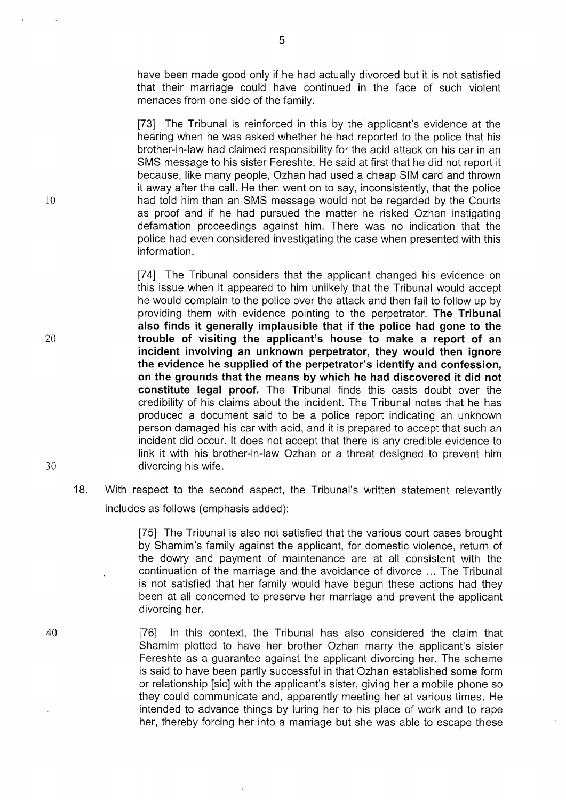have been made good only if he had actually divorced but it is not satisfied that their marriage could have continued in the face of such violent menaces from one side of the family.

[73] The Tribunal is reinforced in this by the applicant's evidence at the hearing when he was asked whether he had reported to the police that his brother-in-law had claimed responsibility for the acid attack on his car in an SMS message to his sister Fereshte. He said at first that he did not report it because, like many people, Ozhan had used a cheap SIM card and thrown it away after the call. He then went on to say, inconsistently, that the police 10 had told him than an SMS message would not be regarded by the Courts as proof and if he had pursued the matter he risked Ozhan instigating defamation proceedings against him. There was no indication that the police had even considered investigating the case when presented with this information.

[74] The Tribunal considers that the applicant changed his evidence on this issue when it appeared to him unlikely that the Tribunal would accept he would complain to the police over the attack and then fail to follow up by providing them with evidence pointing to the perpetrator. **The Tribunal also finds it generally implausible that if the police had gone to the**  20 **trouble of visiting the applicant's house to make a report of an incident involving an unknown perpetrator, they would then ignore the evidence he supplied of the perpetrator's identify and confession, on the grounds that the means by which he had discovered it did not constitute legal proof.** The Tribunal finds this casts doubt over the credibility of his claims about the incident. The Tribunal notes that he has produced a document said to be a police report indicating an unknown person damaged his car with acid, and it is prepared to accept that such an incident did occur. lt does not accept that there is any credible evidence to link it with his brother-in-law Ozhan or a threat designed to prevent him 30 divorcing his wife.

## 18. With respect to the second aspect, the Tribunal's written statement relevantly includes as follows (emphasis added):

[75] The Tribunal is also not satisfied that the various court cases brought by Shamim's family against the applicant, for domestic violence, return of the dowry and payment of maintenance are at all consistent with the continuation of the marriage and the avoidance of divorce ... The Tribunal is not satisfied that her family would have begun these actions had they been at all concerned to preserve her marriage and prevent the applicant divorcing her.

[76] In this context, the Tribunal has also considered the claim that Shamim plotted to have her brother Ozhan marry the applicant's sister Fereshte as a guarantee against the applicant divorcing her. The scheme is said to have been partly successful in that Ozhan established some form or relationship [sic] with the applicant's sister, giving her a mobile phone so they could communicate and, apparently meeting her at various times. He intended to advance things by luring her to his place of work and to rape her, thereby forcing her into a marriage but she was able to escape these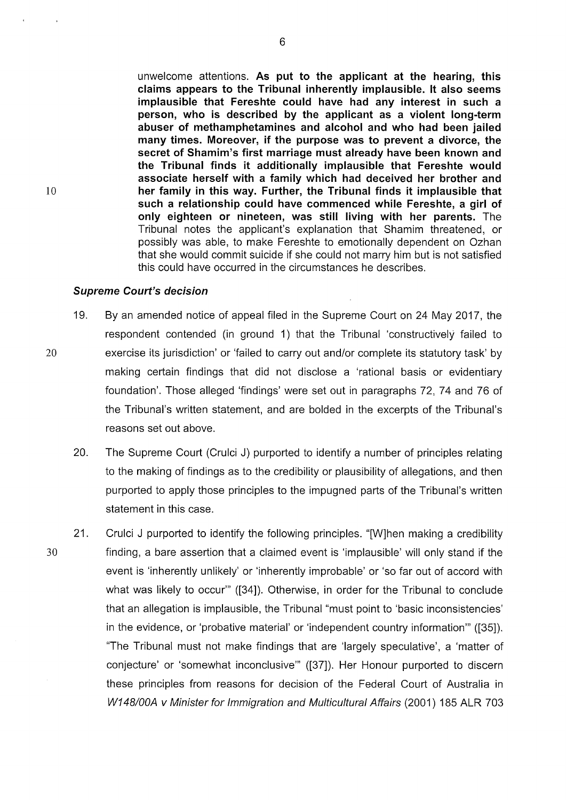unwelcome attentions. **As put to the applicant at the hearing, this claims appears to the Tribunal inherently implausible. lt also seems implausible that Fereshte could have had any interest in such a person, who is described by the applicant as a violent long-term abuser of methamphetamines and alcohol and who had been jailed many times. Moreover, if the purpose was to prevent a divorce, the secret of Shamim's first marriage must already have been known and the Tribunal finds it additionally implausible that Fereshte would associate herself with a family which had deceived her brother and her family in this way. Further, the Tribunal finds it implausible that such a relationship could have commenced while Fereshte, a girl of only eighteen or nineteen, was still living with her parents.** The Tribunal notes the applicant's explanation that Shamim threatened, or possibly was able, to make Fereshte to emotionally dependent on Ozhan that she would commit suicide if she could not marry him but is not satisfied this could have occurred in the circumstances he describes.

### **Supreme Court's decision**

- 19. By an amended notice of appeal filed in the Supreme Court on 24 May 2017, the respondent contended (in ground 1) that the Tribunal 'constructively failed to 20 exercise its jurisdiction' or 'failed to carry out and/or complete its statutory task' by making certain findings that did not disclose a 'rational basis or evidentiary foundation'. Those alleged 'findings' were set out in paragraphs 72, 74 and 76 of the Tribunal's written statement, and are bolded in the excerpts of the Tribunal's reasons set out above.
	- 20. The Supreme Court (Crulci J) purported to identify a number of principles relating to the making of findings as to the credibility or plausibility of allegations, and then purported to apply those principles to the impugned parts of the Tribunal's written statement in this case.
- 21. Crulci J purported to identify the following principles. "[W]hen making a credibility 30 finding, a bare assertion that a claimed event is 'implausible' will only stand if the event is 'inherently unlikely' or 'inherently improbable' or 'so far out of accord with what was likely to occur" ([34]). Otherwise, in order for the Tribunal to conclude that an allegation is implausible, the Tribunal "must point to 'basic inconsistencies' in the evidence, or 'probative material' or 'independent country information"' ([35]). "The Tribunal must not make findings that are 'largely speculative', a 'matter of conjecture' or 'somewhat inconclusive'" ([37]). Her Honour purported to discern these principles from reasons for decision of the Federal Court of Australia in W148/00A v Minister for Immigration and Multicultural Affairs (2001) 185 ALR 703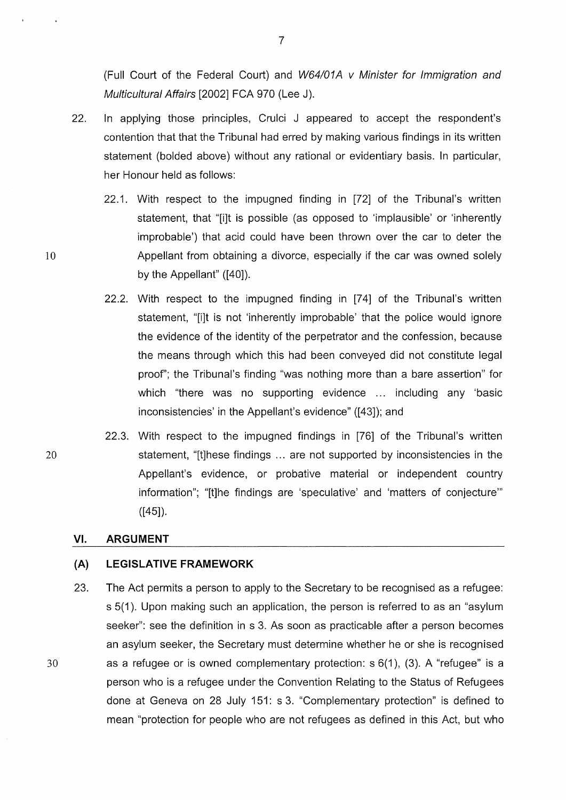(Full Court of the Federal Court) and W64101A v Minister for Immigration and Multicultural Affairs [2002] FCA 970 (Lee J).

- 22. In applying those principles, Crulci J appeared to accept the respondent's contention that that the Tribunal had erred by making various findings in its written statement (bolded above) without any rational or evidentiary basis. In particular, her Honour held as follows:
	- 22.1. With respect to the impugned finding in [72] of the Tribunal's written statement, that "[i]t is possible (as opposed to 'implausible' or 'inherently improbable') that acid could have been thrown over the car to deter the Appellant from obtaining a divorce, especially if the car was owned solely by the Appellant" ([40]).
	- 22.2. With respect to the impugned finding in [74] of the Tribunal's written statement, "[i]t is not 'inherently improbable' that the police would ignore the evidence of the identity of the perpetrator and the confession, because the means through which this had been conveyed did not constitute legal proof'; the Tribunal's finding "was nothing more than a bare assertion" for which "there was no supporting evidence ... including any 'basic inconsistencies' in the Appellant's evidence" ([43]); and
- 22.3. With respect to the impugned findings in [76] of the Tribunal's written statement, "[t]hese findings ... are not supported by inconsistencies in the Appellant's evidence, or probative material or independent country information"; "[t]he findings are 'speculative' and 'matters of conjecture'"  $([45])$ .

#### VI. **ARGUMENT**

### **(A) LEGISLATIVE FRAMEWORK**

23. The Act permits a person to apply to the Secretary to be recognised as a refugee: s 5(1). Upon making such an application, the person is referred to as an "asylum seeker": see the definition in s 3. As soon as practicable after a person becomes an asylum seeker, the Secretary must determine whether he or she is recognised 30 as a refugee or is owned complementary protection: s 6(1 ), (3). A "refugee" is a person who is a refugee under the Convention Relating to the Status of Refugees done at Geneva on 28 July 151: s 3. "Complementary protection" is defined to mean "protection for people who are not refugees as defined in this Act, but who

10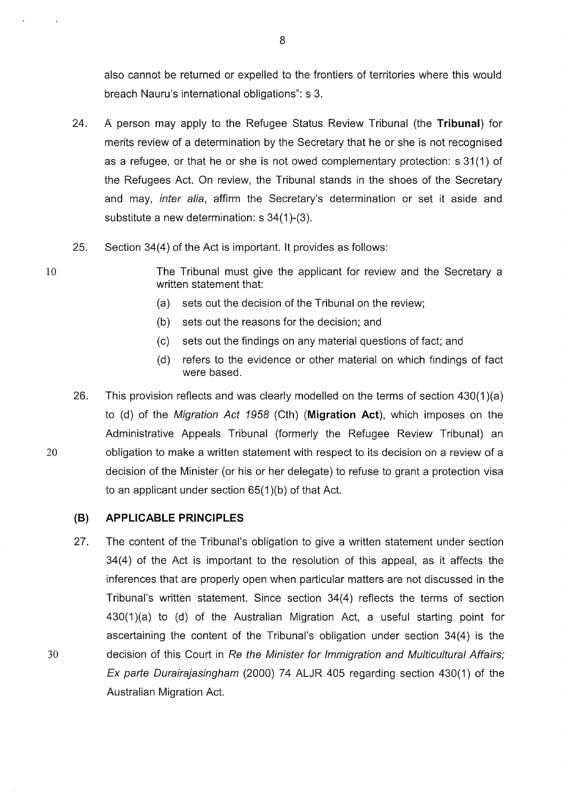also cannot be returned or expelled to the frontiers of territories where this would breach Nauru's international obligations": s 3.

- 24. A person may apply to the Refugee Status Review Tribunal (the **Tribunal)** for merits review of a determination by the Secretary that he or she is not recognised as a refugee, or that he or she is not owed complementary protection: s 31 (1) of the Refugees Act. On review, the Tribunal stands in the shoes of the Secretary and may, inter alia, affirm the Secretary's determination or set it aside and substitute a new determination: s 34(1)-(3).
- 25. Section 34(4) of the Act is important. lt provides as follows:

10 The Tribunal must give the applicant for review and the Secretary a written statement that:

- (a) sets out the decision of the Tribunal on the review;
- (b) sets out the reasons for the decision; and
- (c) sets out the findings on any material questions of fact; and
- (d) refers to the evidence or other material on which findings of fact were based.
- 26. This provision reflects and was clearly modelled on the terms of section 430(1 )(a) to (d) of the Migration Act 1958 (Cth) **(Migration Act),** which imposes on the Administrative Appeals Tribunal (formerly the Refugee Review Tribunal) an 20 obligation to make a written statement with respect to its decision on a review of a decision of the Minister (or his or her delegate) to refuse to grant a protection visa to an applicant under section 65(1 )(b) of that Act.

### **(B) APPLICABLE PRINCIPLES**

27. The content of the Tribunal's obligation to give a written statement under section 34(4) of the Act is important to the resolution of this appeal, as it affects the inferences that are properly open when particular matters are not discussed in the Tribunal's written statement. Since section 34(4) reflects the terms of section  $430(1)(a)$  to (d) of the Australian Migration Act, a useful starting point for ascertaining the content of the Tribunal's obligation under section 34(4) is the 30 decision of this Court in Re the Minister for Immigration and Multicultural Affairs; Ex parte Durairajasingham (2000) 74 ALJR 405 regarding section 430(1) of the Australian Migration Act.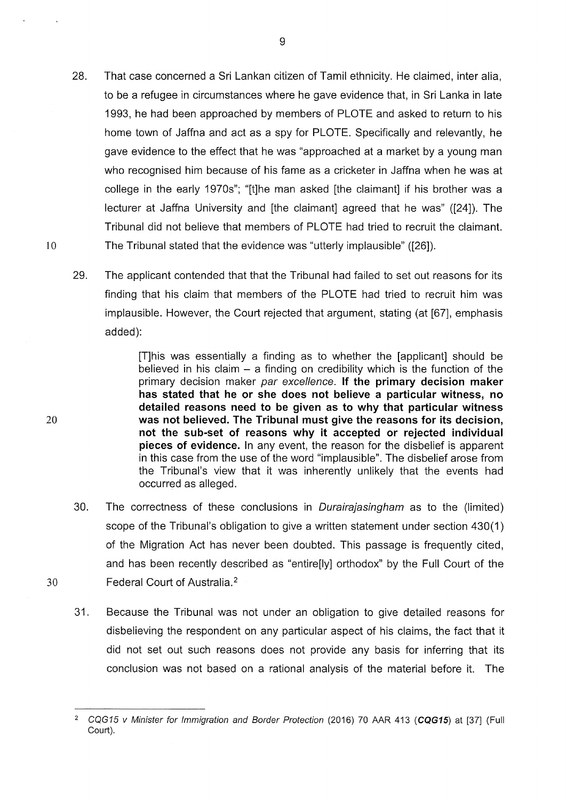- 28. That case concerned a Sri Lankan citizen of Tamil ethnicity. He claimed, inter alia, to be a refugee in circumstances where he gave evidence that, in Sri Lanka in late 1993, he had been approached by members of PLOTE and asked to return to his home town of Jaffna and act as a spy for PLOTE. Specifically and relevantly, he gave evidence to the effect that he was "approached at a market by a young man who recognised him because of his fame as a cricketer in Jaffna when he was at college in the early 1970s"; "[t]he man asked [the claimant] if his brother was a lecturer at Jaffna University and [the claimant] agreed that he was" ([24]). The Tribunal did not believe that members of PLOTE had tried to recruit the claimant. 10 The Tribunal stated that the evidence was "utterly implausible" ([26]).
	- 29. The applicant contended that that the Tribunal had failed to set out reasons for its finding that his claim that members of the PLOTE had tried to recruit him was implausible. However, the Court rejected that argument, stating (at [67], emphasis added):

[T]his was essentially a finding as to whether the [applicant] should be believed in his claim  $-$  a finding on credibility which is the function of the primary decision maker par excellence. If the primary decision maker has stated that he or she does not believe a particular witness, no detailed reasons need to be given as to why that particular witness was not believed. The Tribunal must give the reasons for its decision, not the sub-set of reasons why it accepted or rejected individual pieces of evidence. In any event, the reason for the disbelief is apparent in this case from the use of the word "implausible". The disbelief arose from the Tribunal's view that it was inherently unlikely that the events had occurred as alleged.

- 30. The correctness of these conclusions in Durairajasingham as to the (limited) scope of the Tribunal's obligation to give a written statement under section 430(1) of the Migration Act has never been doubted. This passage is frequently cited, and has been recently described as "entire[ly] orthodox" by the Full Court of the 30 Federal Court of Australia. <sup>2</sup>
	- 31. Because the Tribunal was not under an obligation to give detailed reasons for disbelieving the respondent on any particular aspect of his claims, the fact that it did not set out such reasons does not provide any basis for inferring that its conclusion was not based on a rational analysis of the material before it. The

9

<sup>&</sup>lt;sup>2</sup> CQG15 *v Minister for Immigration and Border Protection* (2016) 70 AAR 413 (CQG15) at [37] (Full Court).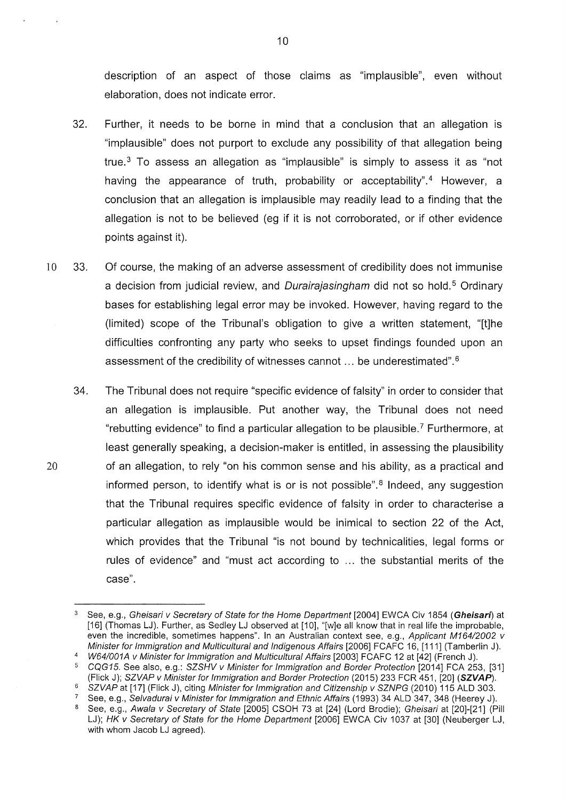description of an aspect of those claims as "implausible", even without elaboration, does not indicate error.

- 32. Further, it needs to be borne in mind that a conclusion that an allegation is "implausible" does not purport to exclude any possibility of that allegation being true. $3$  To assess an allegation as "implausible" is simply to assess it as "not having the appearance of truth, probability or acceptability".<sup>4</sup> However, a conclusion that an allegation is implausible may readily lead to a finding that the allegation is not to be believed (eg if it is not corroborated, or if other evidence points against it).
- 10 33. Of course, the making of an adverse assessment of credibility does not immunise a decision from judicial review, and *Durairajasingham* did not so hold.<sup>5</sup> Ordinary bases for establishing legal error may be invoked. However, having regard to the (limited) scope of the Tribunal's obligation to give a written statement, "[t]he difficulties confronting any party who seeks to upset findings founded upon an assessment of the credibility of witnesses cannot ... be underestimated". <sup>6</sup>
- 34. The Tribunal does not require "specific evidence of falsity" in order to consider that an allegation is implausible. Put another way, the Tribunal does not need "rebutting evidence" to find a particular allegation to be plausible. 7 Furthermore, at least generally speaking, a decision-maker is entitled, in assessing the plausibility 20 of an allegation, to rely "on his common sense and his ability, as a practical and informed person, to identify what is or is not possible". $8$  Indeed, any suggestion that the Tribunal requires specific evidence of falsity in order to characterise a particular allegation as implausible would be inimical to section 22 of the Act, which provides that the Tribunal "is not bound by technicalities, legal forms or rules of evidence" and "must act according to ... the substantial merits of the case".

See, e.g., Selvadurai v Minister for Immigration and Ethnic Affairs (1993) 34 ALD 347, 348 (Heerey J).

See, e.g., Gheisari v Secretary of State for the Home Department [2004] EWCA Civ 1854 (Gheisari) at [16] (Thomas LJ). Further, as Sedley LJ observed at [10], "[w]e all know that in real life the improbable, even the incredible, sometimes happens". In an Australian context see, e.g., Applicant M164/2002 v Minister for Immigration and Multicultural and Indigenous Affairs [2006] FCAFC 16, [111] (Tamberlin J).

<sup>4</sup> W64/001A v Minister for Immigration and Multicultural Affairs [2003] FCAFC 12 at [42] (French J).<br>5 COG15 See also e.g.: SZSHV v Minister for Immigration and Berder Protection [2014] FCA 25:

<sup>5</sup>CQG15. See also, e.g.: SZSHV v Minister for Immigration and Border Protection [2014] FCA 253, [31] (Flick J); SZVAP v Minister for Immigration and Border Protection (2015) 233 FCR 451, [20] **(SZVAP).** SZVAP at [17] (Flick J), citing Minister for Immigration and Citizenship v SZNPG (2010) 115 ALD 303.

See, e.g., Awala v Secretary of State [2005] CSOH 73 at [24] (Lord Brodie); Gheisari at [20]-[21] (Pill LJ); HK v Secretary of State for the Home Department [2006] EWCA Civ 1037 at [30] (Neuberger LJ, with whom Jacob LJ agreed).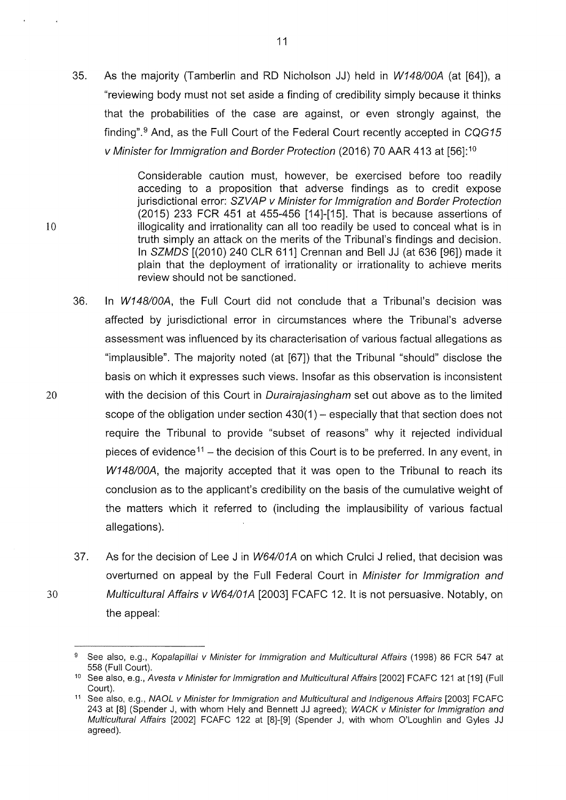35. As the majority (Tamberlin and RD Nicholson JJ) held in W148/00A (at [64]), a "reviewing body must not set aside a finding of credibility simply because it thinks that the probabilities of the case are against, or even strongly against, the finding".<sup>9</sup> And, as the Full Court of the Federal Court recently accepted in  $CQG15$ v Minister for Immigration and Border Protection (2016) 70 AAR 413 at [56]: <sup>10</sup>

Considerable caution must, however, be exercised before too readily acceding to a proposition that adverse findings as to credit expose jurisdictional error: SZVAP v Minister for Immigration and Border Protection (2015) 233 FCR 451 at 455-456 [14]-[15]. That is because assertions of 10 illogicality and irrationality can all too readily be used to conceal what is in truth simply an attack on the merits of the Tribunal's findings and decision. In SZMDS [(2010) 240 CLR 611] Crennan and Bell JJ (at 636 [96]) made it plain that the deployment of irrationality or irrationality to achieve merits review should not be sanctioned.

- 36. In W148/00A, the Full Court did not conclude that a Tribunal's decision was affected by jurisdictional error in circumstances where the Tribunal's adverse assessment was influenced by its characterisation of various factual allegations as "implausible". The majority noted (at [67]) that the Tribunal "should" disclose the basis on which it expresses such views. Insofar as this observation is inconsistent 20 with the decision of this Court in Durairajasingham set out above as to the limited scope of the obligation under section  $430(1)$  – especially that that section does not require the Tribunal to provide "subset of reasons" why it rejected individual pieces of evidence<sup>11</sup> – the decision of this Court is to be preferred. In any event, in W148/00A, the majority accepted that it was open to the Tribunal to reach its conclusion as to the applicant's credibility on the basis of the cumulative weight of the matters which it referred to (including the implausibility of various factual allegations).
- 37. As for the decision of Lee J in W64/01A on which Crulci J relied, that decision was overturned on appeal by the Full Federal Court in Minister for Immigration and 30 Multicultural Affairs v W64/01A [2003] FCAFC 12. lt is not persuasive. Notably, on the appeal:

See also, e.g., Kopalapillai v Minister for Immigration and Multicultural Affairs (1998) 86 FCR 547 at 558 (Full Court).

<sup>&</sup>lt;sup>10</sup> See also, e.g., Avesta v Minister for Immigration and Multicultural Affairs [2002] FCAFC 121 at [19] (Full Court).

<sup>&</sup>lt;sup>11</sup> See also, e.g., NAOL v Minister for Immigration and Multicultural and Indigenous Affairs [2003] FCAFC 243 at [8] (Spender J, with whom Hely and Bennett JJ agreed); WACK v Minister for Immigration and Multicultural Affairs [2002] FCAFC 122 at [8]-[9] (Spender J, with whom O'Loughlin and Gyles JJ agreed).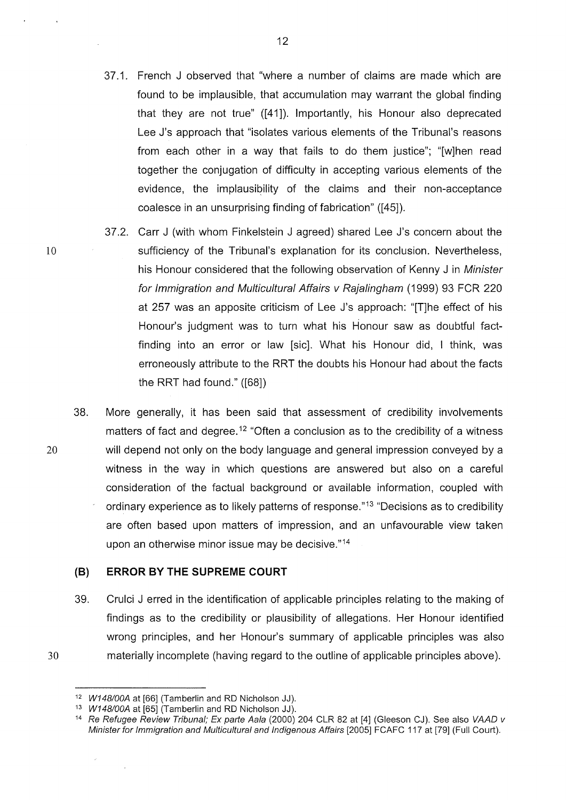- 37.1. French J observed that "where a number of claims are made which are found to be implausible, that accumulation may warrant the global finding that they are not true" ([41]). Importantly, his Honour also deprecated Lee J's approach that "isolates various elements of the Tribunal's reasons from each other in a way that fails to do them justice"; "[w]hen read together the conjugation of difficulty in accepting various elements of the evidence, the implausibility of the claims and their non-acceptance coalesce in an unsurprising finding of fabrication" ([45]).
- 37.2. Carr J (with whom Finkelstein J agreed) shared Lee J's concern about the sufficiency of the Tribunal's explanation for its conclusion. Nevertheless, his Honour considered that the following observation of Kenny J in Minister for Immigration and Multicultural Affairs v Rajalingham (1999) 93 FCR 220 at 257 was an apposite criticism of Lee J's approach: "[T]he effect of his Honour's judgment was to turn what his Honour saw as doubtful factfinding into an error or law [sic]. What his Honour did, I think, was erroneously attribute to the RRT the doubts his Honour had about the facts the RRT had found." ([68])
- 38. More generally, it has been said that assessment of credibility involvements matters of fact and degree.<sup>12</sup> "Often a conclusion as to the credibility of a witness 20 will depend not only on the body language and general impression conveyed by a witness in the way in which questions are answered but also on a careful consideration of the factual background or available information, coupled with ordinary experience as to likely patterns of response."<sup>13</sup> "Decisions as to credibility are often based upon matters of impression, and an unfavourable view taken upon an otherwise minor issue may be decisive."<sup>14</sup>

### **(B) ERROR BY THE SUPREME COURT**

39. Crulci J erred in the identification of applicable principles relating to the making of findings as to the credibility or plausibility of allegations. Her Honour identified wrong principles, and her Honour's summary of applicable principles was also 30 materially incomplete (having regard to the outline of applicable principles above).

 $\mathcal{L}$ 

12

<sup>&</sup>lt;sup>12</sup> W148/00A at [66] (Tamberlin and RD Nicholson JJ).

<sup>13</sup> W148/00A at [65] (Tamberlin and RD Nicholson JJ).

<sup>&</sup>lt;sup>14</sup> Re Refugee Review Tribunal; Ex parte Aala (2000) 204 CLR 82 at [4] (Gleeson CJ). See also VAAD v Minister for Immigration and Multicultural and Indigenous Affairs [2005] FCAFC 117 at [79] (Full Court).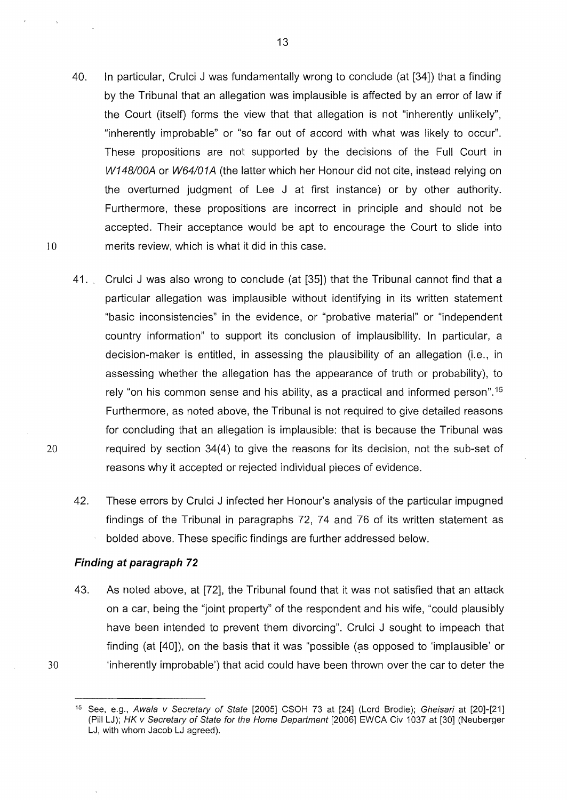- 40. In particular, Crulci J was fundamentally wrong to conclude (at [34]) that a finding by the Tribunal that an allegation was implausible is affected by an error of law if the Court (itself) forms the view that that allegation is not "inherently unlikely", "inherently improbable" or "so far out of accord with what was likely to occur". These propositions are not supported by the decisions of the Full Court in W148/00A or W64/01A (the latter which her Honour did not cite, instead relying on the overturned judgment of Lee J at first instance) or by other authority. Furthermore, these propositions are incorrect in principle and should not be accepted. Their acceptance would be apt to encourage the Court to slide into 10 merits review, which is what it did in this case.
- 41. Crulci J was also wrong to conclude (at [35]) that the Tribunal cannot find that a particular allegation was implausible without identifying in its written statement "basic inconsistencies" in the evidence, or "probative material" or "independent country information" to support its conclusion of implausibility. In particular, a decision-maker is entitled, in assessing the plausibility of an allegation (i.e., in assessing whether the allegation has the appearance of truth or probability), to rely "on his common sense and his ability, as a practical and informed person". <sup>15</sup> Furthermore, as noted above, the Tribunal is not required to give detailed reasons for concluding that an allegation is implausible: that is because the Tribunal was 20 required by section 34(4) to give the reasons for its decision, not the sub-set of reasons why it accepted or rejected individual pieces of evidence.
	- 42. These errors by Crulci J infected her Honour's analysis of the particular impugned findings of the Tribunal in paragraphs 72, 74 and 76 of its written statement as bolded above. These specific findings are further addressed below.

### **Finding at paragraph 72**

43. As noted above, at [72], the Tribunal found that it was not satisfied that an attack on a car, being the "joint property" of the respondent and his wife, "could plausibly have been intended to prevent them divorcing". Crulci J sought to impeach that finding (at [40]), on the basis that it was "possible (as opposed to 'implausible' or 30 'inherently improbable') that acid could have been thrown over the car to deter the

<sup>&</sup>lt;sup>15</sup> See, e.g., Awala v Secretary of State [2005] CSOH 73 at [24] (Lord Brodie); Gheisari at [20]-[21] (Pill LJ); HK v Secretary of State for the Home Department [2006] EWCA Civ 1037 at [30] (Neuberger LJ, with whom Jacob LJ agreed).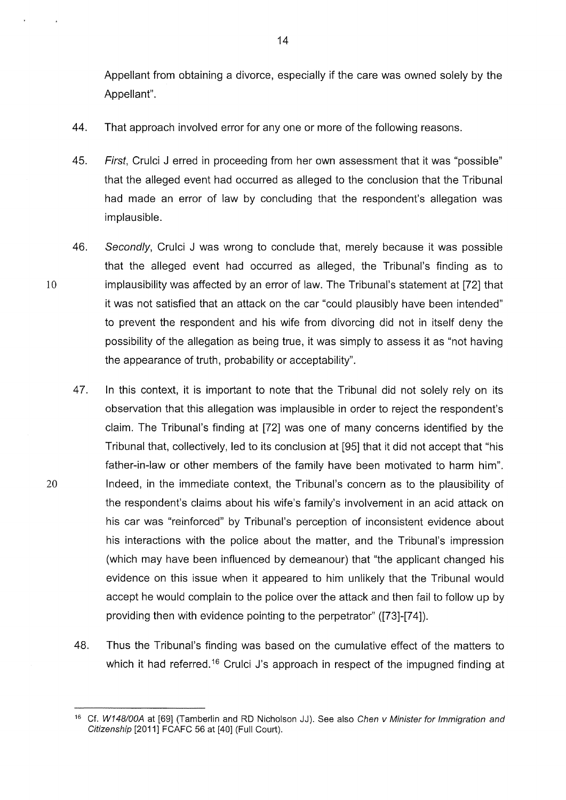Appellant from obtaining a divorce, especially if the care was owned solely by the Appellant".

- 44. That approach involved error for any one or more of the following reasons.
- 45. First, Crulci J erred in proceeding from her own assessment that it was "possible" that the alleged event had occurred as alleged to the conclusion that the Tribunal had made an error of law by concluding that the respondent's allegation was implausible.
- 46. Secondly, Crulci J was wrong to conclude that, merely because it was possible that the alleged event had occurred as alleged, the Tribunal's finding as to 10 implausibility was affected by an error of law. The Tribunal's statement at [72] that it was not satisfied that an attack on the car "could plausibly have been intended" to prevent the respondent and his wife from divorcing did not in itself deny the possibility of the allegation as being true, it was simply to assess it as "not having the appearance of truth, probability or acceptability".
- 47. In this context, it is important to note that the Tribunal did not solely rely on its observation that this allegation was implausible in order to reject the respondent's claim. The Tribunal's finding at [72] was one of many concerns identified by the Tribunal that, collectively, led to its conclusion at [95] that it did not accept that "his father-in-law or other members of the family have been motivated to harm him". 20 Indeed, in the immediate context, the Tribunal's concern as to the plausibility of the respondent's claims about his wife's family's involvement in an acid attack on his car was "reinforced" by Tribunal's perception of inconsistent evidence about his interactions with the police about the matter, and the Tribunal's impression (which may have been influenced by demeanour) that "the applicant changed his evidence on this issue when it appeared to him unlikely that the Tribunal would accept he would complain to the police over the attack and then fail to follow up by providing then with evidence pointing to the perpetrator" ([73]-[7 4]).
	- 48. Thus the Tribunal's finding was based on the cumulative effect of the matters to which it had referred.<sup>16</sup> Crulci J's approach in respect of the impugned finding at

<sup>&</sup>lt;sup>16</sup> Cf. W148/00A at [69] (Tamberlin and RD Nicholson JJ). See also Chen v Minister for Immigration and Citizenship [2011] FCAFC 56 at [40] (Full Court).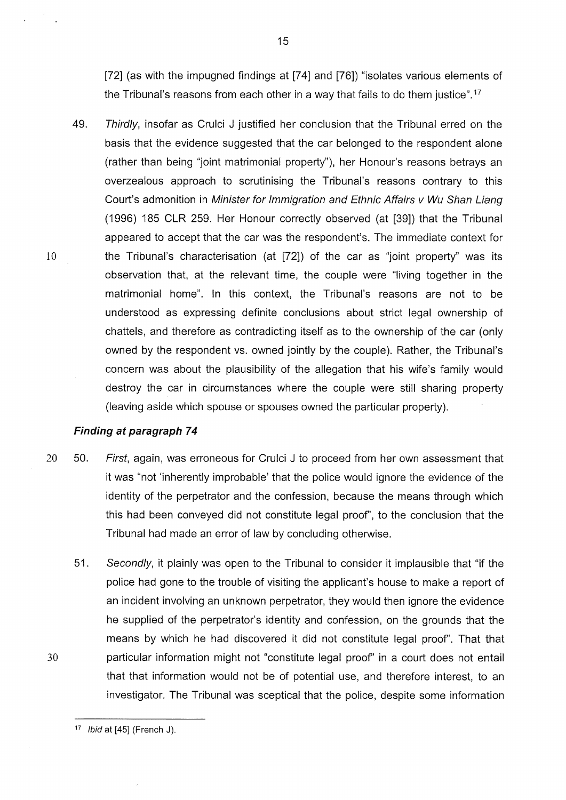[72] (as with the impugned findings at [74] and [76]) "isolates various elements of the Tribunal's reasons from each other in a way that fails to do them justice". <sup>17</sup>

49. Thirdly, insofar as Crulci J justified her conclusion that the Tribunal erred on the basis that the evidence suggested that the car belonged to the respondent alone (rather than being "joint matrimonial property"), her Honour's reasons betrays an overzealous approach to scrutinising the Tribunal's reasons contrary to this Court's admonition in Minister for Immigration and Ethnic Affairs v Wu Shan Liang (1996) 185 CLR 259. Her Honour correctly observed (at [39]) that the Tribunal appeared to accept that the car was the respondent's. The immediate context for 10 the Tribunal's characterisation (at [72]) of the car as "joint property" was its observation that, at the relevant time, the couple were "living together in the matrimonial home". In this context, the Tribunal's reasons are not to be understood as expressing definite conclusions about strict legal ownership of chattels, and therefore as contradicting itself as to the ownership of the car (only owned by the respondent vs. owned jointly by the couple). Rather, the Tribunal's concern was about the plausibility of the allegation that his wife's family would destroy the car in circumstances where the couple were still sharing property (leaving aside which spouse or spouses owned the particular property).

### **Finding at paragraph 7 4**

- 20 50. First, again, was erroneous for Crulci J to proceed from her own assessment that it was "not 'inherently improbable' that the police would ignore the evidence of the identity of the perpetrator and the confession, because the means through which this had been conveyed did not constitute legal proof', to the conclusion that the Tribunal had made an error of law by concluding otherwise.
- 51. Secondly, it plainly was open to the Tribunal to consider it implausible that "if the police had gone to the trouble of visiting the applicant's house to make a report of an incident involving an unknown perpetrator, they would then ignore the evidence he supplied of the perpetrator's identity and confession, on the grounds that the means by which he had discovered it did not constitute legal proof'. That that 30 particular information might not "constitute legal proof' in a court does not entail that that information would not be of potential use, and therefore interest, to an investigator. The Tribunal was sceptical that the police, despite some information

<sup>17</sup> */bid* at [45] (French J).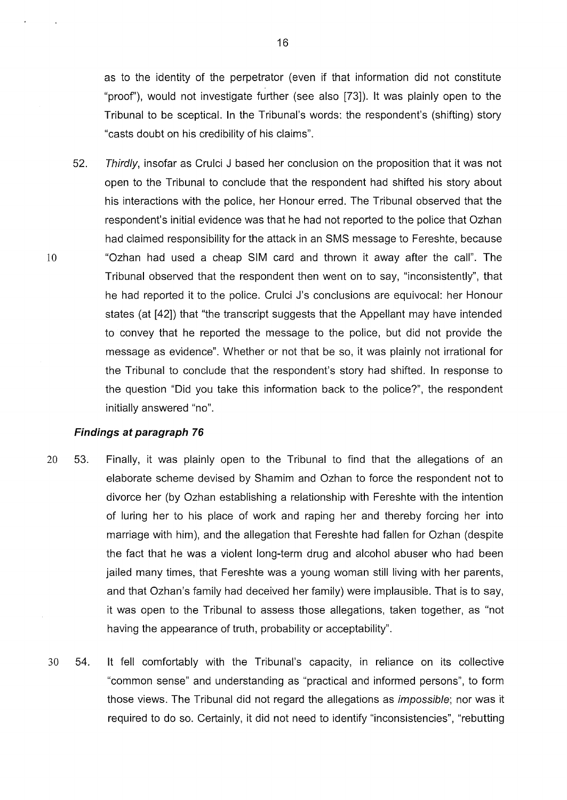as to the identity of the perpetrator (even if that information did not constitute "proof'), would not investigate further (see also [73]). lt was plainly open to the Tribunal to be sceptical. In the Tribunal's words: the respondent's (shifting) story "casts doubt on his credibility of his claims".

52. Thirdly, insofar as Crulci J based her conclusion on the proposition that it was not open to the Tribunal to conclude that the respondent had shifted his story about his interactions with the police, her Honour erred. The Tribunal observed that the respondent's initial evidence was that he had not reported to the police that Ozhan had claimed responsibility for the attack in an SMS message to Fereshte, because 10 "Ozhan had used a cheap SIM card and thrown it away after the call". The Tribunal observed that the respondent then went on to say, "inconsistently", that he had reported it to the police. Crulci J's conclusions are equivocal: her Honour states (at [42]) that "the transcript suggests that the Appellant may have intended to convey that he reported the message to the police, but did not provide the message as evidence". Whether or not that be so, it was plainly not irrational for the Tribunal to conclude that the respondent's story had shifted. In response to the question "Did you take this information back to the police?", the respondent initially answered "no".

### **Findings at paragraph 76**

- 20 53. Finally, it was plainly open to the Tribunal to find that the allegations of an elaborate scheme devised by Shamim and Ozhan to force the respondent not to divorce her (by Ozhan establishing a relationship with Fereshte with the intention of luring her to his place of work and raping her and thereby forcing her into marriage with him), and the allegation that Fereshte had fallen for Ozhan (despite the fact that he was a violent long-term drug and alcohol abuser who had been jailed many times, that Fereshte was a young woman still living with her parents, and that Ozhan's family had deceived her family) were implausible. That is to say, it was open to the Tribunal to assess those allegations, taken together, as "not having the appearance of truth, probability or acceptability".
- 30 54. lt fell comfortably with the Tribunal's capacity, in reliance on its collective "common sense" and understanding as "practical and informed persons", to form those views. The Tribunal did not regard the allegations as impossible; nor was it required to do so. Certainly, it did not need to identify "inconsistencies", "rebutting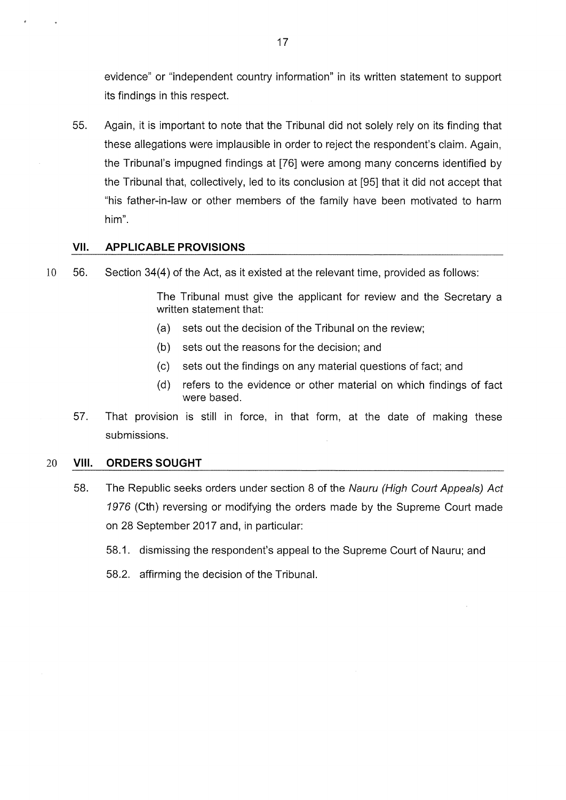evidence" or "independent country information" in its written statement to support its findings in this respect.

55. Again, it is important to note that the Tribunal did not solely rely on its finding that these allegations were implausible in order to reject the respondent's claim. Again, the Tribunal's impugned findings at [76] were among many concerns identified by the Tribunal that, collectively, led to its conclusion at [95] that it did not accept that "his father-in-law or other members of the family have been motivated to harm him".

### **VII. APPLICABLE PROVISIONS**

10 56. Section 34(4) of the Act, as it existed at the relevant time, provided as follows:

The Tribunal must give the applicant for review and the Secretary a written statement that:

- (a) sets out the decision of the Tribunal on the review;
- (b) sets out the reasons for the decision; and
- (c) sets out the findings on any material questions of fact; and
- (d) refers to the evidence or other material on which findings of fact were based.
- 57. That provision is still in force, in that form, at the date of making these submissions.

### 20 **VIII. ORDERS SOUGHT**

- 58. The Republic seeks orders under section 8 of the Nauru (High Court Appeals) Act 1976 (Cth) reversing or modifying the orders made by the Supreme Court made on 28 September 2017 and, in particular:
	- 58.1. dismissing the respondent's appeal to the Supreme Court of Nauru; and
	- 58.2. affirming the decision of the Tribunal.